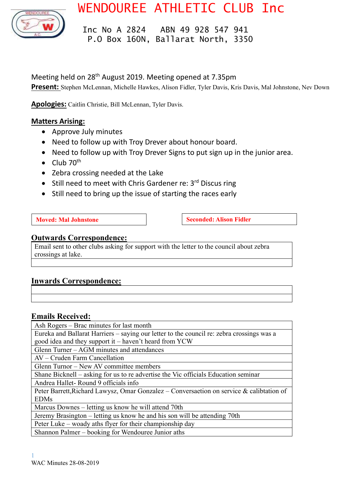

WENDOUREE ATHLETIC CLUB Inc

 Inc No A 2824 ABN 49 928 547 941 P.O Box 160N, Ballarat North, 3350

## Meeting held on 28<sup>th</sup> August 2019. Meeting opened at 7.35pm

**Present:** Stephen McLennan, Michelle Hawkes, Alison Fidler, Tyler Davis, Kris Davis, Mal Johnstone, Nev Down

**Apologies:** Caitlin Christie, Bill McLennan, Tyler Davis.

### **Matters Arising:**

- Approve July minutes
- Need to follow up with Troy Drever about honour board.
- Need to follow up with Troy Drever Signs to put sign up in the junior area.
- Club  $70^{th}$
- Zebra crossing needed at the Lake
- Still need to meet with Chris Gardener re:  $3<sup>rd</sup>$  Discus ring
- Still need to bring up the issue of starting the races early

**Moved:** Mal Johnstone **Seconded:** Alison Fidler

### **Outwards Correspondence:**

Email sent to other clubs asking for support with the letter to the council about zebra crossings at lake.

### **Inwards Correspondence:**

### **Emails Received:**

Ash Rogers – Brac minutes for last month

Eureka and Ballarat Harriers – saying our letter to the council re: zebra crossings was a good idea and they support it – haven't heard from YCW

Glenn Turner – AGM minutes and attendances

AV – Cruden Farm Cancellation

Glenn Turnor – New AV committee members

Shane Bicknell – asking for us to re advertise the Vic officials Education seminar

Andrea Hallet- Round 9 officials info

Peter Barrett,Richard Lawysz, Omar Gonzalez – Conversaetion on service & calibtation of EDMs

Marcus Downes – letting us know he will attend 70th

Jeremy Brasington – letting us know he and his son will be attending 70th

Peter Luke – woady aths flyer for their championship day Shannon Palmer – booking for Wendouree Junior aths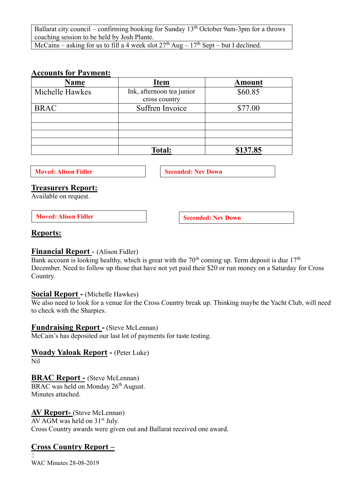Ballarat city council – confirming booking for Sunday  $13<sup>th</sup>$  October 9am-3pm for a throws coaching session to be held by Josh Plante.

# McCains – asking for us to fill a 4 week slot  $27<sup>th</sup>$  Aug –  $17<sup>th</sup>$  Sept – but I declined.

### **Accounts for Payment:**

| <b>Name</b>     | <b>Item</b>               | <b>Amount</b> |
|-----------------|---------------------------|---------------|
| Michelle Hawkes | Ink, afternoon tea junior | \$60.85       |
|                 | cross country             |               |
| <b>BRAC</b>     | Suffren Invoice           | \$77.00       |
|                 |                           |               |
|                 |                           |               |
|                 |                           |               |
|                 |                           |               |
|                 | <b>Total:</b>             | \$137.85      |

**Moved: Alison Fidler Seconded: Nev Down** 

### **Treasurers Report:**

Available on request.

**Moved:** Alison Fidler **Seconded:** Nev Down

### **Reports:**

### **Financial Report** - (Alison Fidler)

Bank account is looking healthy, which is great with the  $70<sup>th</sup>$  coming up. Term deposit is due  $17<sup>th</sup>$ December. Need to follow up those that have not yet paid their \$20 or run money on a Saturday for Cross Country.

# **Social Report -** (Michelle Hawkes)

We also need to look for a venue for the Cross Country break up. Thinking maybe the Yacht Club, will need to check with the Sharpies.

### **Fundraising Report -** (Steve McLennan)

McCain's has deposited our last lot of payments for taste testing.

### **Woady Yaloak Report -** (Peter Luke)

Nil

### **BRAC Report -** (Steve McLennan)

BRAC was held on Monday 26<sup>th</sup> August. Minutes attached.

### **AV Report-** (Steve McLennan)

AV AGM was held on 31<sup>st</sup> July. Cross Country awards were given out and Ballarat received one award.

# **Cross Country Report –**

2 WAC Minutes 28-08-2019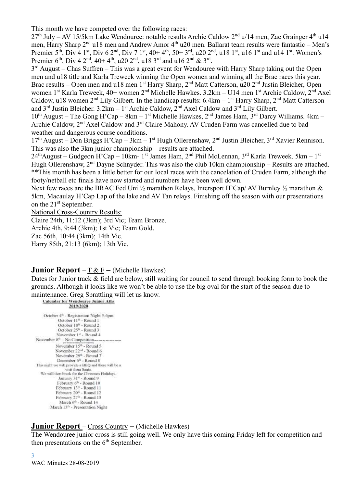This month we have competed over the following races:

 $27<sup>th</sup>$  July – AV 15/5km Lake Wendouree: notable results Archie Caldow  $2<sup>nd</sup>$  u/14 men, Zac Grainger  $4<sup>th</sup>$  u14 men, Harry Sharp 2<sup>nd</sup> u18 men and Andrew Amor 4<sup>th</sup> u20 men. Ballarat team results were fantastic – Men's Premier 5<sup>th</sup>, Div 4 1<sup>st</sup>, Div 6 2<sup>nd</sup>, Div 7 1<sup>st</sup>, 40+ 4<sup>th</sup>, 50+ 3<sup>rd</sup>, u20 2<sup>nd</sup>, u18 1<sup>st</sup>, u16 1<sup>st</sup> and u14 1<sup>st</sup>. Women's Premier 6<sup>th</sup>, Div 4 2<sup>nd</sup>, 40+ 4<sup>th</sup>, u20 2<sup>nd</sup>, u18 3<sup>rd</sup> and u16 2<sup>nd</sup> & 3<sup>rd</sup>.

 $3<sup>rd</sup>$  August – Chas Suffren – This was a great event for Wendouree with Harry Sharp taking out the Open men and u18 title and Karla Treweek winning the Open women and winning all the Brac races this year. Brac results – Open men and u18 men 1<sup>st</sup> Harry Sharp, 2<sup>nd</sup> Matt Catterson, u20 2<sup>nd</sup> Justin Bleicher, Open women 1<sup>st</sup> Karla Treweek, 40+ women 2<sup>nd</sup> Michelle Hawkes. 3.2km – U14 men 1<sup>st</sup> Archie Caldow, 2<sup>nd</sup> Axel Caldow, u18 women  $2<sup>nd</sup>$  Lily Gilbert. In the handicap results: 6.4km – 1<sup>st</sup> Harry Sharp,  $2<sup>nd</sup>$  Matt Catterson and  $3^{\text{rd}}$  Justin Bleicher.  $3.2 \text{km} - 1^{\text{st}}$  Archie Caldow,  $2^{\text{nd}}$  Axel Caldow and  $3^{\text{rd}}$  Lily Gilbert.

 $10^{th}$  August – The Gong H'Cap – 8km – 1<sup>st</sup> Michelle Hawkes, 2<sup>nd</sup> James Ham, 3<sup>rd</sup> Darcy Williams. 4km – Archie Caldow, 2<sup>nd</sup> Axel Caldow and 3<sup>rd</sup> Claire Mahony. AV Cruden Farm was cancelled due to bad weather and dangerous course conditions.

17<sup>th</sup> August – Don Briggs H'Cap – 3km – 1<sup>st</sup> Hugh Ollerenshaw, 2<sup>nd</sup> Justin Bleicher, 3<sup>rd</sup> Xavier Rennison. This was also the 3km junior championship – results are attached.

24<sup>th</sup>August – Gudgeon H'Cap – 10km- 1<sup>st</sup> James Ham, 2<sup>nd</sup> Phil McLennan, 3<sup>rd</sup> Karla Treweek. 5km – 1<sup>st</sup> Hugh Ollerenshaw, 2<sup>nd</sup> Dayne Schnyder. This was also the club 10km championship – Results are attached. \*\*This month has been a little better for our local races with the cancelation of Cruden Farm, although the footy/netball etc finals have now started and numbers have been well down.

Next few races are the BRAC Fed Uni  $\frac{1}{2}$  marathon Relays, Intersport H'Cap/ AV Burnley  $\frac{1}{2}$  marathon & 5km, Macaulay H'Cap Lap of the lake and AV Tan relays. Finishing off the season with our presentations on the 21<sup>st</sup> September.

National Cross-Country Results:

Claire 24th, 11:12 (3km); 3rd Vic; Team Bronze.

Archie 4th, 9:44 (3km); 1st Vic; Team Gold.

Zac 56th, 10:44 (3km); 14th Vic.

Harry 85th, 21:13 (6km); 13th Vic.

### **Junior Report** – T & F **–** (Michelle Hawkes)

Dates for Junior track & field are below, still waiting for council to send through booking form to book the grounds. Although it looks like we won't be able to use the big oval for the start of the season due to maintenance. Greg Sprattling will let us know.

#### **Calendar for Wendource Junior Aths** 2019/2020

October 4<sup>th</sup> - Registration Night 5-6pm October 11<sup>th</sup> - Round 1 October 18<sup>th</sup> - Round 2 October 25<sup>6</sup> - Round 3 November 1<sup>a</sup> - Round 4 November 8<sup>th</sup> - No Competition... November 15<sup>th</sup> - Round 5 November 22<sup>nd</sup> - Round 6 November 29<sup>th</sup> - Round 7 December 6<sup>th</sup> - Round 8 This night we will provide a BBQ and there will be a visit from Santa.<br>We will then break for the Christmas Holidays. January 31st - Round 9 February 6<sup>th</sup> - Round 10 February 13th - Round 11 February 20th - Round 12 February 27th - Round 13 March 6<sup>th</sup> - Round 14 March 13th - Presentation Night

### **Junior Report** – Cross Country **–** (Michelle Hawkes)

The Wendouree junior cross is still going well. We only have this coming Friday left for competition and then presentations on the  $6<sup>th</sup>$  September.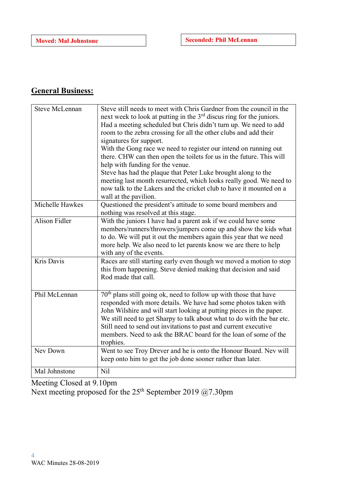# **General Business:**

| <b>Steve McLennan</b> | Steve still needs to meet with Chris Gardner from the council in the<br>next week to look at putting in the $3rd$ discus ring for the juniors.<br>Had a meeting scheduled but Chris didn't turn up. We need to add<br>room to the zebra crossing for all the other clubs and add their<br>signatures for support.<br>With the Gong race we need to register our intend on running out<br>there. CHW can then open the toilets for us in the future. This will<br>help with funding for the venue.<br>Steve has had the plaque that Peter Luke brought along to the |
|-----------------------|--------------------------------------------------------------------------------------------------------------------------------------------------------------------------------------------------------------------------------------------------------------------------------------------------------------------------------------------------------------------------------------------------------------------------------------------------------------------------------------------------------------------------------------------------------------------|
|                       | meeting last month resurrected, which looks really good. We need to<br>now talk to the Lakers and the cricket club to have it mounted on a<br>wall at the pavilion.                                                                                                                                                                                                                                                                                                                                                                                                |
| Michelle Hawkes       | Questioned the president's attitude to some board members and<br>nothing was resolved at this stage.                                                                                                                                                                                                                                                                                                                                                                                                                                                               |
| Alison Fidler         | With the juniors I have had a parent ask if we could have some<br>members/runners/throwers/jumpers come up and show the kids what<br>to do. We will put it out the members again this year that we need<br>more help. We also need to let parents know we are there to help<br>with any of the events.                                                                                                                                                                                                                                                             |
| Kris Davis            | Races are still starting early even though we moved a motion to stop<br>this from happening. Steve denied making that decision and said<br>Rod made that call.                                                                                                                                                                                                                                                                                                                                                                                                     |
| Phil McLennan         | $70th$ plans still going ok, need to follow up with those that have<br>responded with more details. We have had some photos taken with<br>John Wilshire and will start looking at putting pieces in the paper.<br>We still need to get Sharpy to talk about what to do with the bar etc.<br>Still need to send out invitations to past and current executive<br>members. Need to ask the BRAC board for the loan of some of the<br>trophies.                                                                                                                       |
| Nev Down              | Went to see Troy Drever and he is onto the Honour Board. Nev will<br>keep onto him to get the job done sooner rather than later.                                                                                                                                                                                                                                                                                                                                                                                                                                   |
| Mal Johnstone         | Nil                                                                                                                                                                                                                                                                                                                                                                                                                                                                                                                                                                |

Meeting Closed at 9.10pm Next meeting proposed for the  $25<sup>th</sup>$  September 2019 @7.30pm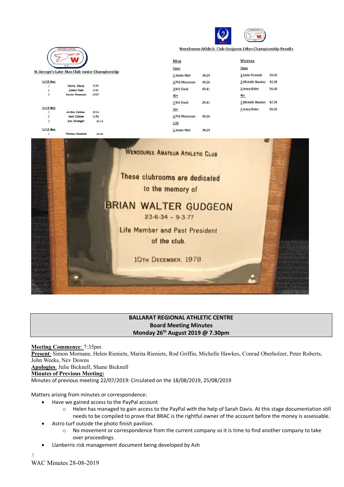

Wendouree Athletic Club Gudgeon 10km Championship Results



### **BALLARAT REGIONAL ATHLETIC CENTRE Board Meeting Minutes Monday 26th August 2019 @ 7.30pm**

**Meeting Commence**: 7:35pm **Present**: Simon Mornane, Helen Rieniets, Marita Rieniets, Rod Griffin, Michelle Hawkes, Conrad Oberholzer, Peter Roberts, John Weeks, Nev Downs **Apologies**: Julie Bicknell, Shane Bicknell **Minutes of Previous Meeting:**

Minutes of previous meeting 22/07/2019: Circulated on the 18/08/2019, 25/08/2019

Matters arising from minutes or correspondence:

- Have we gained access to the PayPal account
	- o Helen has managed to gain access to the PayPal with the help of Sarah Davis. At this stage documentation still needs to be compiled to prove that BRAC is the rightful owner of the account before the money is assessable.
- Astro turf outside the photo finish pavilion.
	- o No movement or correspondence from the current company so it is time to find another company to take over proceedings.
- Llanberris risk management document being developed by Ash

5 WAC Minutes 28-08-2019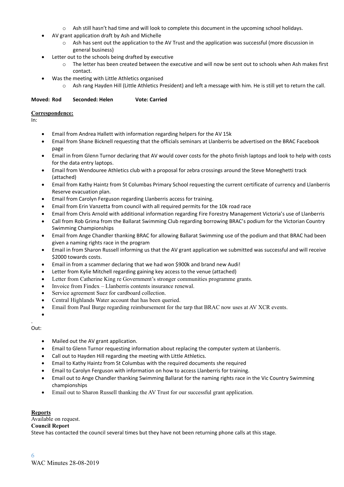- o Ash still hasn't had time and will look to complete this document in the upcoming school holidays.
- AV grant application draft by Ash and Michelle
	- o Ash has sent out the application to the AV Trust and the application was successful (more discussion in general business)
- Letter out to the schools being drafted by executive
	- o The letter has been created between the executive and will now be sent out to schools when Ash makes first contact.
	- Was the meeting with Little Athletics organised
		- o Ash rang Hayden Hill (Little Athletics President) and left a message with him. He is still yet to return the call.

#### **Moved: Rod Seconded: Helen Vote: Carried**

#### **Correspondence:**

In:

- Email from Andrea Hallett with information regarding helpers for the AV 15k
- Email from Shane Bicknell requesting that the officials seminars at Llanberris be advertised on the BRAC Facebook page
- Email in from Glenn Turnor declaring that AV would cover costs for the photo finish laptops and look to help with costs for the data entry laptops.
- Email from Wendouree Athletics club with a proposal for zebra crossings around the Steve Moneghetti track (attached)
- Email from Kathy Haintz from St Columbas Primary School requesting the current certificate of currency and Llanberris Reserve evacuation plan.
- Email from Carolyn Ferguson regarding Llanberris access for training.
- Email from Erin Vanzetta from council with all required permits for the 10k road race
- Email from Chris Arnold with additional information regarding Fire Forestry Management Victoria's use of Llanberris
- Call from Rob Grima from the Ballarat Swimming Club regarding borrowing BRAC's podium for the Victorian Country Swimming Championships
- Email from Ange Chandler thanking BRAC for allowing Ballarat Swimming use of the podium and that BRAC had been given a naming rights race in the program
- Email in from Sharon Russell informing us that the AV grant application we submitted was successful and will receive \$2000 towards costs.
- Email in from a scammer declaring that we had won \$900k and brand new Audi!
- Letter from Kylie Mitchell regarding gaining key access to the venue (attached)
- Letter from Catherine King re Government's stronger communities programme grants.
- Invoice from Findex Llanberris contents insurance renewal.
- Service agreement Suez for cardboard collection.
- Central Highlands Water account that has been queried.
- Email from Paul Burge regarding reimbursement for the tarp that BRAC now uses at AV XCR events.

•

#### Out:

.

- Mailed out the AV grant application.
- Email to Glenn Turnor requesting information about replacing the computer system at Llanberris.
- Call out to Hayden Hill regarding the meeting with Little Athletics.
- Email to Kathy Haintz from St Columbas with the required documents she required
- Email to Carolyn Ferguson with information on how to access Llanberris for training.
- Email out to Ange Chandler thanking Swimming Ballarat for the naming rights race in the Vic Country Swimming championships
- Email out to Sharon Russell thanking the AV Trust for our successful grant application.

#### **Reports**

Available on request.

#### **Council Report**

Steve has contacted the council several times but they have not been returning phone calls at this stage.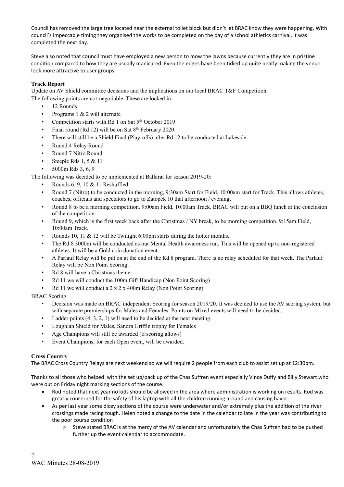Council has removed the large tree located near the external toilet block but didn't let BRAC know they were happening. With council's impeccable timing they organised the works to be completed on the day of a school athletics carnival, it was completed the next day.

Steve also noted that council must have employed a new person to mow the lawns because currently they are in pristine condition compared to how they are usually manicured. Even the edges have been tidied up quite neatly making the venue look more attractive to user groups.

#### **Track Report**

Update on AV Shield committee decisions and the implications on our local BRAC T&F Competition.

The following points are not-negotiable. These are locked in:

- 12 Rounds
- Programs 1 & 2 will alternate
- Competition starts with Rd 1 on Sat  $5<sup>th</sup>$  October 2019
- Final round (Rd 12) will be on Sat  $8<sup>th</sup>$  February 2020
- There will still be a Shield Final (Play-offs) after Rd 12 to be conducted at Lakeside.
- Round 4 Relay Round
- Round 7 Nitro Round
- Steeple Rds  $1, 5 \& 11$
- 5000m Rds 3, 6, 9

The following was decided to be implemented at Ballarat for season 2019-20:

- Rounds 6, 9, 10 & 11 Reshuffled
- Round 7 (Nitro) to be conducted in the morning, 9:30am Start for Field, 10:00am start for Track. This allows athletes, coaches, officials and spectators to go to Zatopek 10 that afternoon / evening.
- Round 8 to be a morning competition. 9:00am Field, 10:00am Track. BRAC will put on a BBQ lunch at the conclusion of the competition.
- Round 9, which is the first week back after the Christmas / NY break, to be morning competition. 9:15am Field, 10:00am Track.
- Rounds 10, 11 & 12 will be Twilight 6:00pm starts during the hotter months.
- The Rd 8 3000m will be conducted as our Mental Health awareness run. This will be opened up to non-registered athletes. It will be a Gold coin donation event.
- A Parlauf Relay will be put on at the end of the Rd 8 program. There is no relay scheduled for that week. The Parlauf Relay will be Non Point Scoring.
- Rd 8 will have a Christmas theme.
- Rd 11 we will conduct the 100m Gift Handicap (Non Point Scoring)
- Rd 11 we will conduct a 2 x 2 x 400m Relay (Non Point Scoring)

#### BRAC Scoring

- Decision was made on BRAC independent Scoring for season 2019/20. It was decided to use the AV scoring system, but with separate premierships for Males and Females. Points on Mixed events will need to be decided.
- Ladder points  $(4, 3, 2, 1)$  will need to be decided at the next meeting.
- Loughlan Shield for Males, Sandra Griffin trophy for Females
- Age Champions will still be awarded (if scoring allows)
- Event Champions, for each Open event, will be awarded.

#### **Cross Country**

The BRAC Cross Country Relays are next weekend so we will require 2 people from each club to assist set up at 12:30pm.

Thanks to all those who helped with the set up/pack up of the Chas Suffren event especially Vince Duffy and Billy Stewart who were out on Friday night marking sections of the course.

- Rod noted that next year no kids should be allowed in the area where administration is working on results. Rod was greatly concerned for the safety of his laptop with all the children running around and causing havoc.
- As per last year some dicey sections of the course were underwater and/or extremely plus the addition of the river crossings made racing tough. Helen noted a change to the date in the calendar to late in the year was contributing to the poor course condition
	- o Steve stated BRAC is at the mercy of the AV calendar and unfortunately the Chas Suffren had to be pushed further up the event calendar to accommodate.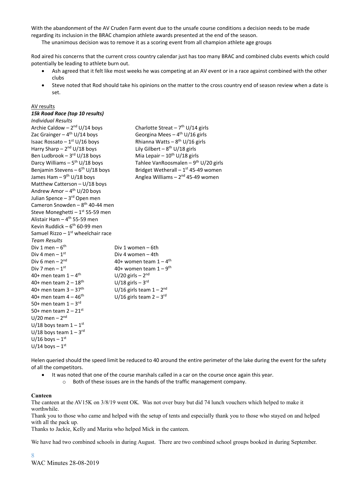With the abandonment of the AV Cruden Farm event due to the unsafe course conditions a decision needs to be made regarding its inclusion in the BRAC champion athlete awards presented at the end of the season.

The unanimous decision was to remove it as a scoring event from all champion athlete age groups

Rod aired his concerns that the current cross country calendar just has too many BRAC and combined clubs events which could potentially be leading to athlete burn out.

- Ash agreed that it felt like most weeks he was competing at an AV event or in a race against combined with the other clubs
- Steve noted that Rod should take his opinions on the matter to the cross country end of season review when a date is set.

#### AV results

#### *15k Road Race (top 10 results)*

| <b>Individual Results</b>                       |                                                  |
|-------------------------------------------------|--------------------------------------------------|
| Archie Caldow - $2^{nd}$ U/14 boys              | Charlotte Streat - $7th U/14$ girls              |
| Zac Grainger $-4$ <sup>th</sup> U/14 boys       | Georgina Mees $-4$ <sup>th</sup> U/16 girls      |
| Isaac Rossato - $1st U/16$ boys                 | Rhianna Watts - $8^{th}$ U/16 girls              |
| Harry Sharp - $2^{nd}$ U/18 boys                | Lily Gilbert - $8^{th}$ U/18 girls               |
| Ben Ludbrook $-3$ <sup>rd</sup> U/18 boys       | Mia Lepair $-10^{th}$ U/18 girls                 |
| Darcy Williams $-5^{th}$ U/18 boys              | Tahlee VanRoosmalen - $9^{th}$ U/20 girls        |
| Benjamin Stevens - $6th U/18$ boys              | Bridget Wetherall $-1$ <sup>st</sup> 45-49 women |
| James Ham $-9^{th}$ U/18 boys                   | Anglea Williams - 2 <sup>nd</sup> 45-49 women    |
| Matthew Catterson - U/18 boys                   |                                                  |
| Andrew Amor $-4$ <sup>th</sup> U/20 boys        |                                                  |
| Julian Spence - 3rd Open men                    |                                                  |
| Cameron Snowden - 8 <sup>th</sup> 40-44 men     |                                                  |
| Steve Moneghetti - 1st 55-59 men                |                                                  |
| Alistair Ham - 4 <sup>th</sup> 55-59 men        |                                                  |
| Kevin Ruddick - $6th 60-99$ men                 |                                                  |
| Samuel Rizzo $-1$ <sup>st</sup> wheelchair race |                                                  |
| <b>Team Results</b>                             |                                                  |
| Div 1 men $-6$ <sup>th</sup>                    | Div 1 women - 6th                                |
| Div 4 men $-1st$                                | Div 4 women - 4th                                |
| Div 6 men $-2nd$                                | 40+ women team $1-4$ <sup>th</sup>               |
| Div 7 men $-1st$                                | 40+ women team $1-9$ <sup>th</sup>               |
| 40+ men team $1-4$ <sup>th</sup>                | $U/20$ girls - $2nd$                             |
| 40+ men team $2 - 18$ <sup>th</sup>             | $U/18$ girls - 3 <sup>rd</sup>                   |
| 40+ men team $3 - 37$ <sup>th</sup>             | U/16 girls team $1 - 2nd$                        |
| 40+ men team $4 - 46$ <sup>th</sup>             | U/16 girls team $2 - 3$ <sup>rd</sup>            |
| 50+ men team $1-3$ <sup>rd</sup>                |                                                  |
| 50+ men team $2 - 21$ <sup>st</sup>             |                                                  |
| $U/20$ men - $2nd$                              |                                                  |
| U/18 boys team $1-1$ <sup>st</sup>              |                                                  |
| U/18 boys team $1 - 3$ <sup>rd</sup>            |                                                  |
| $U/16$ boys $-1$ <sup>st</sup>                  |                                                  |
| $U/14$ boys - $1st$                             |                                                  |

Helen queried should the speed limit be reduced to 40 around the entire perimeter of the lake during the event for the safety of all the competitors.

- It was noted that one of the course marshals called in a car on the course once again this year.
	- o Both of these issues are in the hands of the traffic management company.

#### **Canteen**

The canteen at the AV15K on 3/8/19 went OK. Was not over busy but did 74 lunch vouchers which helped to make it worthwhile.

Thank you to those who came and helped with the setup of tents and especially thank you to those who stayed on and helped with all the pack up.

Thanks to Jackie, Kelly and Marita who helped Mick in the canteen.

We have had two combined schools in during August. There are two combined school groups booked in during September.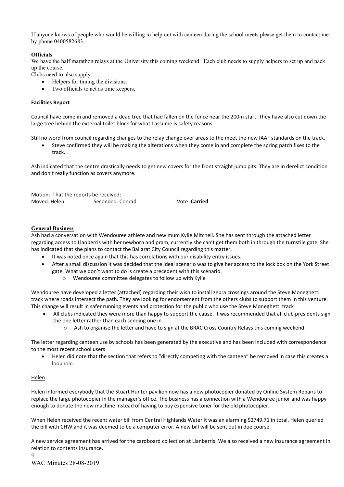If anyone knows of people who would be willing to help out with canteen during the school meets please get them to contact me by phone 0400582683.

#### **Officials**

We have the half marathon relays at the University this coming weekend. Each club needs to supply helpers to set up and pack up the course.

Clubs need to also supply:

- Helpers for timing the divisions.
- Two officials to act as time keepers.

#### **Facilities Report**

Council have come in and removed a dead tree that had fallen on the fence near the 200m start. They have also cut down the large tree behind the external toilet block for what I assume is safety reasons.

Still no word from council regarding changes to the relay change over areas to the meet the new IAAF standards on the track.

• Steve confirmed they will be making the alterations when they come in and complete the spring patch fixes to the track.

Ash indicated that the centre drastically needs to get new covers for the front straight jump pits. They are in derelict condition and don't really function as covers anymore.

Motion: That the reports be received: Moved: Helen Seconded: Conrad Vote: **Carried**

#### **General Business**

Ash had a conversation with Wendouree athlete and new mum Kylie Mitchell. She has sent through the attached letter regarding access to Llanberris with her newborn and pram, currently she can't get them both in through the turnstile gate. She has indicated that she plans to contact the Ballarat City Council regarding this matter.

- It was noted once again that this has correlations with our disability entry issues.
- After a small discussion it was decided that the ideal scenario was to give her access to the lock box on the York Street gate. What we don't want to do is create a precedent with this scenario.
	- o Wendouree committee delegates to follow up with Kylie

Wendouree have developed a letter (attached) regarding their wish to install zebra crossings around the Steve Moneghetti track where roads intersect the path. They are looking for endorsement from the others clubs to support them in this venture. This change will result in safer running events and protection for the public who use the Steve Moneghetti track

- All clubs indicated they were more than happy to support the cause. It was recommended that all club presidents sign the one letter rather than each sending one in.
	- o Ash to organise the letter and have to sign at the BRAC Cross Country Relays this coming weekend.

The letter regarding canteen use by schools has been generated by the executive and has been included with correspondence to the most recent school users

• Helen did note that the section that refers to "directly competing with the canteen" be removed in case this creates a loophole.

#### Helen

Helen informed everybody that the Stuart Hunter pavilion now has a new photocopier donated by Online System Repairs to replace the large photocopier in the manager's office. The business has a connection with a Wendouree junior and was happy enough to donate the new machine instead of having to buy expensive toner for the old photocopier.

When Helen received the recent water bill from Central Highlands Water it was an alarming \$2749.71 in total. Helen queried the bill with CHW and it was deemed to be a computer error. A new bill will be sent out in due course.

A new service agreement has arrived for the cardboard collection at Llanberris. We also received a new insurance agreement in relation to contents insurance.

WAC Minutes 28-08-2019

**9**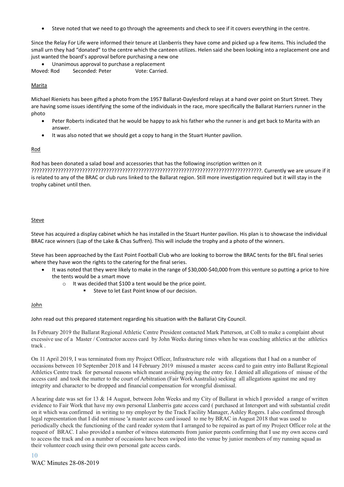• Steve noted that we need to go through the agreements and check to see if it covers everything in the centre.

Since the Relay For Life were informed their tenure at Llanberris they have come and picked up a few items. This included the small urn they had "donated" to the centre which the canteen utilizes. Helen said she been looking into a replacement one and just wanted the board's approval before purchasing a new one

• Unanimous approval to purchase a replacement

Moved: Rod Seconded: Peter Vote: Carried.

#### **Marita**

Michael Rieniets has been gifted a photo from the 1957 Ballarat-Daylesford relays at a hand over point on Sturt Street. They are having some issues identifying the some of the individuals in the race, more specifically the Ballarat Harriers runner in the photo

- Peter Roberts indicated that he would be happy to ask his father who the runner is and get back to Marita with an answer.
- It was also noted that we should get a copy to hang in the Stuart Hunter pavilion.

#### Rod

Rod has been donated a salad bowl and accessories that has the following inscription written on it

??????????????????????????????????????????????????????????????????????????????????????. Currently we are unsure if it is related to any of the BRAC or club runs linked to the Ballarat region. Still more investigation required but it will stay in the trophy cabinet until then.

#### **Steve**

Steve has acquired a display cabinet which he has installed in the Stuart Hunter pavilion. His plan is to showcase the individual BRAC race winners (Lap of the Lake & Chas Suffren). This will include the trophy and a photo of the winners.

Steve has been approached by the East Point Football Club who are looking to borrow the BRAC tents for the BFL final series where they have won the rights to the catering for the final series.

- It was noted that they were likely to make in the range of \$30,000-\$40,000 from this venture so putting a price to hire the tents would be a smart move
	- It was decided that \$100 a tent would be the price point.
		- Steve to let East Point know of our decision.

#### John

John read out this prepared statement regarding his situation with the Ballarat City Council.

In February 2019 the Ballarat Regional Athletic Centre President contacted Mark Patterson, at CoB to make a complaint about excessive use of a Master / Contractor access card by John Weeks during times when he was coaching athletics at the athletics track .

On 11 April 2019, I was terminated from my Project Officer, Infrastructure role with allegations that I had on a number of occasions between 10 September 2018 and 14 February 2019 misused a master access card to gain entry into Ballarat Regional Athletics Centre track for personal reasons which meant avoiding paying the entry fee. I denied all allegations of misuse of the access card and took the matter to the court of Arbitration (Fair Work Australia) seeking all allegations against me and my integrity and character to be dropped and financial compensation for wrongful dismissal.

A hearing date was set for 13 & 14 August, between John Weeks and my City of Ballarat in which I provided a range of written evidence to Fair Work that have my own personal Llanberris gate access card ( purchased at Intersport and with substantial credit on it which was confirmed in writing to my employer by the Track Facility Manager, Ashley Rogers. I also confirmed through legal representation that I did not misuse 'a master access card issued to me by BRAC in August 2018 that was used to periodically check the functioning of the card reader system that I arranged to be repaired as part of my Project Officer role at the request of BRAC. I also provided a number of witness statements from junior parents confirming that I use my own access card to access the track and on a number of occasions have been swiped into the venue by junior members of my running squad as their volunteer coach using their own personal gate access cards.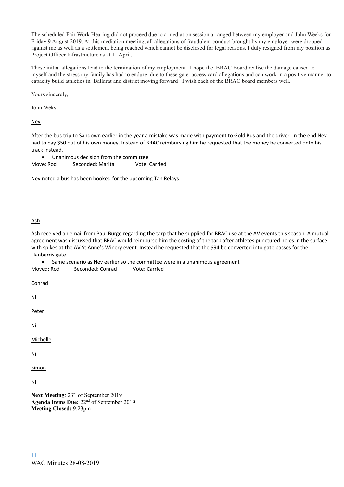The scheduled Fair Work Hearing did not proceed due to a mediation session arranged between my employer and John Weeks for Friday 9 August 2019. At this mediation meeting, all allegations of fraudulent conduct brought by my employer were dropped against me as well as a settlement being reached which cannot be disclosed for legal reasons. I duly resigned from my position as Project Officer Infrastructure as at 11 April.

These initial allegations lead to the termination of my employment. I hope the BRAC Board realise the damage caused to myself and the stress my family has had to endure due to these gate access card allegations and can work in a positive manner to capacity build athletics in Ballarat and district moving forward . I wish each of the BRAC board members well.

Yours sincerely,

John Weks

**Nev** 

After the bus trip to Sandown earlier in the year a mistake was made with payment to Gold Bus and the driver. In the end Nev had to pay \$50 out of his own money. Instead of BRAC reimbursing him he requested that the money be converted onto his track instead.

| Unanimous decision from the committee |                  |               |
|---------------------------------------|------------------|---------------|
| Move: Rod                             | Seconded: Marita | Vote: Carried |

Nev noted a bus has been booked for the upcoming Tan Relays.

#### Ash

Ash received an email from Paul Burge regarding the tarp that he supplied for BRAC use at the AV events this season. A mutual agreement was discussed that BRAC would reimburse him the costing of the tarp after athletes punctured holes in the surface with spikes at the AV St Anne's Winery event. Instead he requested that the \$94 be converted into gate passes for the Llanberris gate.

Moved: Rod Seconded: Conrad Vote: Carried • Same scenario as Nev earlier so the committee were in a unanimous agreement

Conrad

Nil

Peter

Nil

Michelle

Nil

Simon

Nil

**Next Meeting**: 23rd of September 2019 Agenda Items Due: 22<sup>nd</sup> of September 2019 **Meeting Closed:** 9:23pm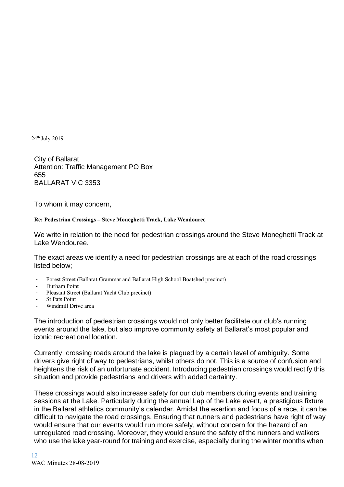24th July 2019

City of Ballarat Attention: Traffic Management PO Box 655 BALLARAT VIC 3353

To whom it may concern,

#### **Re: Pedestrian Crossings – Steve Moneghetti Track, Lake Wendouree**

We write in relation to the need for pedestrian crossings around the Steve Moneghetti Track at Lake Wendouree.

The exact areas we identify a need for pedestrian crossings are at each of the road crossings listed below;

- Forest Street (Ballarat Grammar and Ballarat High School Boatshed precinct)
- Durham Point
- Pleasant Street (Ballarat Yacht Club precinct)
- **St Pats Point**
- Windmill Drive area

The introduction of pedestrian crossings would not only better facilitate our club's running events around the lake, but also improve community safety at Ballarat's most popular and iconic recreational location.

Currently, crossing roads around the lake is plagued by a certain level of ambiguity. Some drivers give right of way to pedestrians, whilst others do not. This is a source of confusion and heightens the risk of an unfortunate accident. Introducing pedestrian crossings would rectify this situation and provide pedestrians and drivers with added certainty.

These crossings would also increase safety for our club members during events and training sessions at the Lake. Particularly during the annual Lap of the Lake event, a prestigious fixture in the Ballarat athletics community's calendar. Amidst the exertion and focus of a race, it can be difficult to navigate the road crossings. Ensuring that runners and pedestrians have right of way would ensure that our events would run more safely, without concern for the hazard of an unregulated road crossing. Moreover, they would ensure the safety of the runners and walkers who use the lake year-round for training and exercise, especially during the winter months when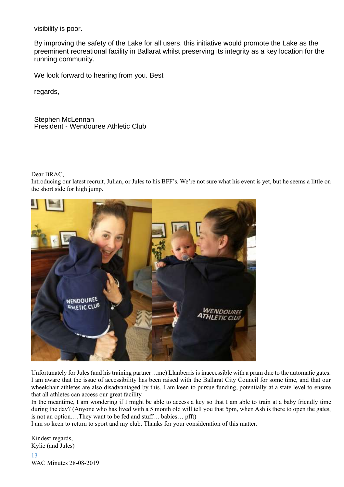visibility is poor.

By improving the safety of the Lake for all users, this initiative would promote the Lake as the preeminent recreational facility in Ballarat whilst preserving its integrity as a key location for the running community.

We look forward to hearing from you. Best

regards,

Stephen McLennan President - Wendouree Athletic Club

Dear BRAC,

Introducing our latest recruit, Julian, or Jules to his BFF's. We're not sure what his event is yet, but he seems a little on the short side for high jump.



Unfortunately for Jules (and his training partner…me) Llanberris is inaccessible with a pram due to the automatic gates. I am aware that the issue of accessibility has been raised with the Ballarat City Council for some time, and that our wheelchair athletes are also disadvantaged by this. I am keen to pursue funding, potentially at a state level to ensure that all athletes can access our great facility.

In the meantime, I am wondering if I might be able to access a key so that I am able to train at a baby friendly time during the day? (Anyone who has lived with a 5 month old will tell you that 5pm, when Ash is there to open the gates, is not an option….They want to be fed and stuff… babies… pfft)

I am so keen to return to sport and my club. Thanks for your consideration of this matter.

13 WAC Minutes 28-08-2019 Kindest regards, Kylie (and Jules)